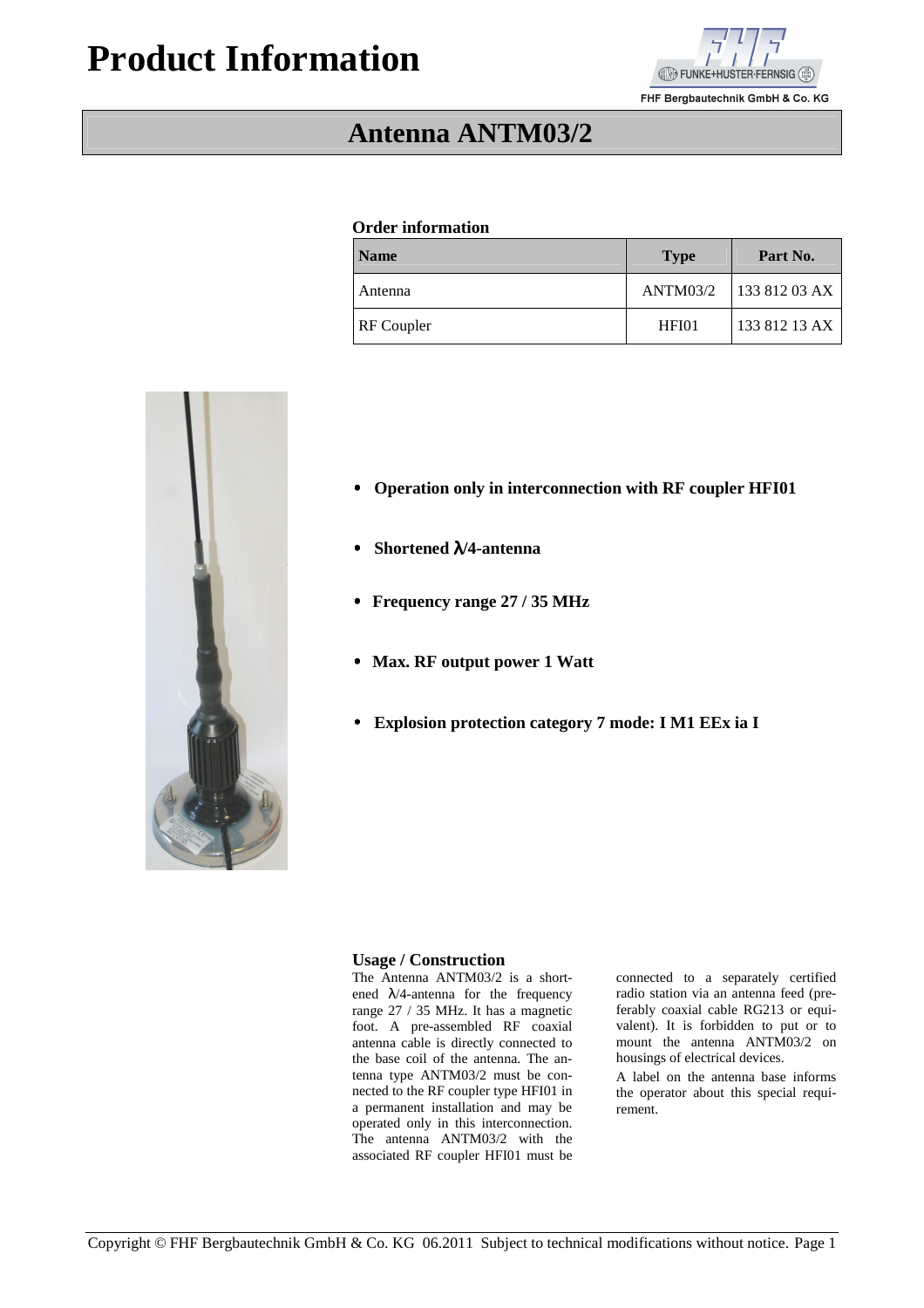# **Product Information**



FHF Bergbautechnik GmbH & Co. KG

# **Antenna ANTM03/2**

#### **Order information**

| <b>Name</b>       | <b>Type</b> | Part No.      |
|-------------------|-------------|---------------|
| Antenna           | ANTM03/2    | 133 812 03 AX |
| <b>RF</b> Coupler | HFI01       | 133 812 13 AX |

- • **Operation only in interconnection with RF coupler HFI01**
- • **Shortened** λ**/4-antenna**
- • **Frequency range 27 / 35 MHz**
- • **Max. RF output power 1 Watt**
- • **Explosion protection category 7 mode: I M1 EEx ia I**

#### **Usage / Construction**

The Antenna ANTM03/2 is a shortened  $\lambda$ /4-antenna for the frequency range 27 / 35 MHz. It has a magnetic foot. A pre-assembled RF coaxial antenna cable is directly connected to the base coil of the antenna. The antenna type ANTM03/2 must be connected to the RF coupler type HFI01 in a permanent installation and may be operated only in this interconnection. The antenna ANTM03/2 with the associated RF coupler HFI01 must be

connected to a separately certified radio station via an antenna feed (preferably coaxial cable RG213 or equivalent). It is forbidden to put or to mount the antenna ANTM03/2 on housings of electrical devices.

A label on the antenna base informs the operator about this special requirement.

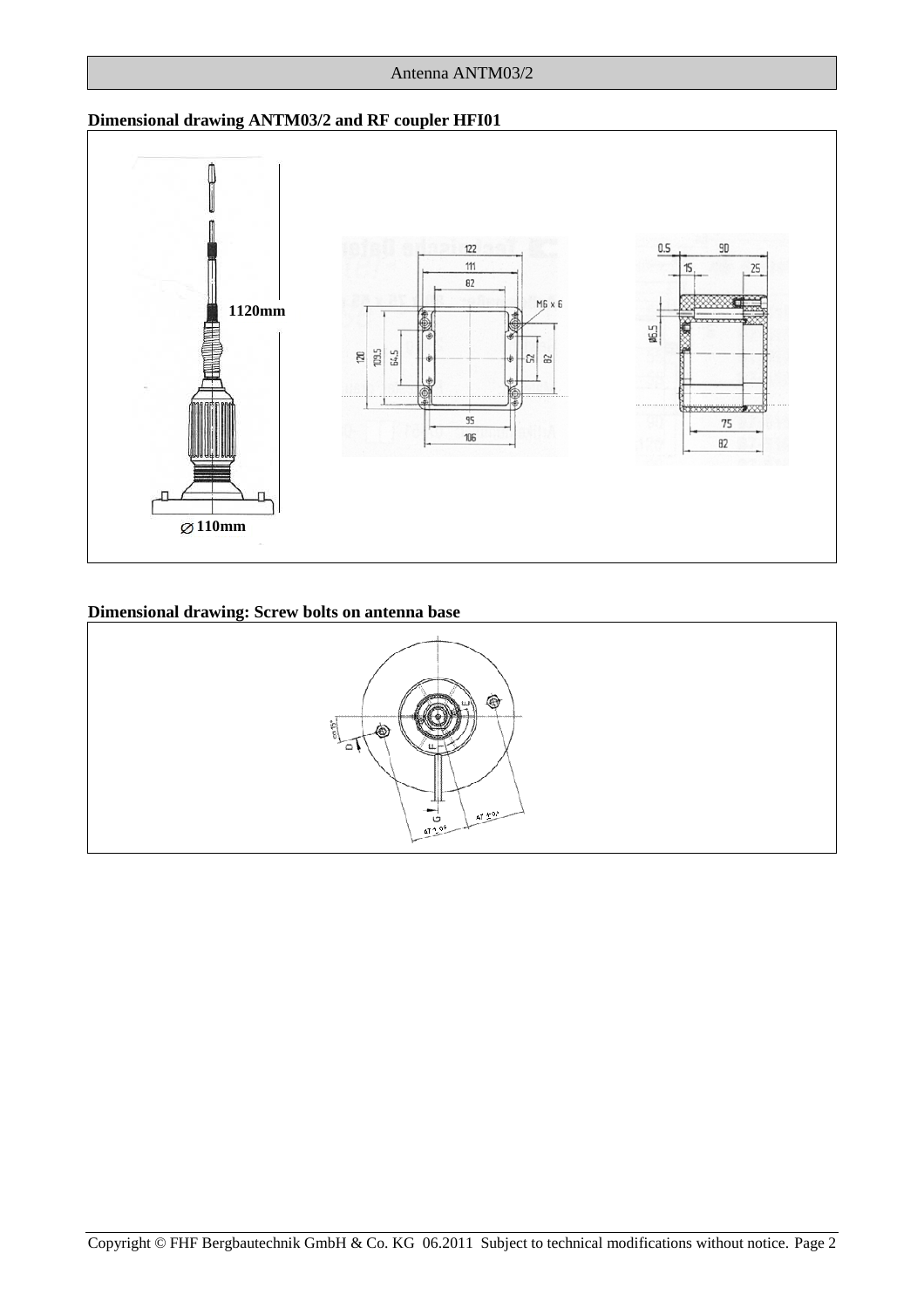#### Antenna ANTM03/2

## **Dimensional drawing ANTM03/2 and RF coupler HFI01**



## **Dimensional drawing: Screw bolts on antenna base**